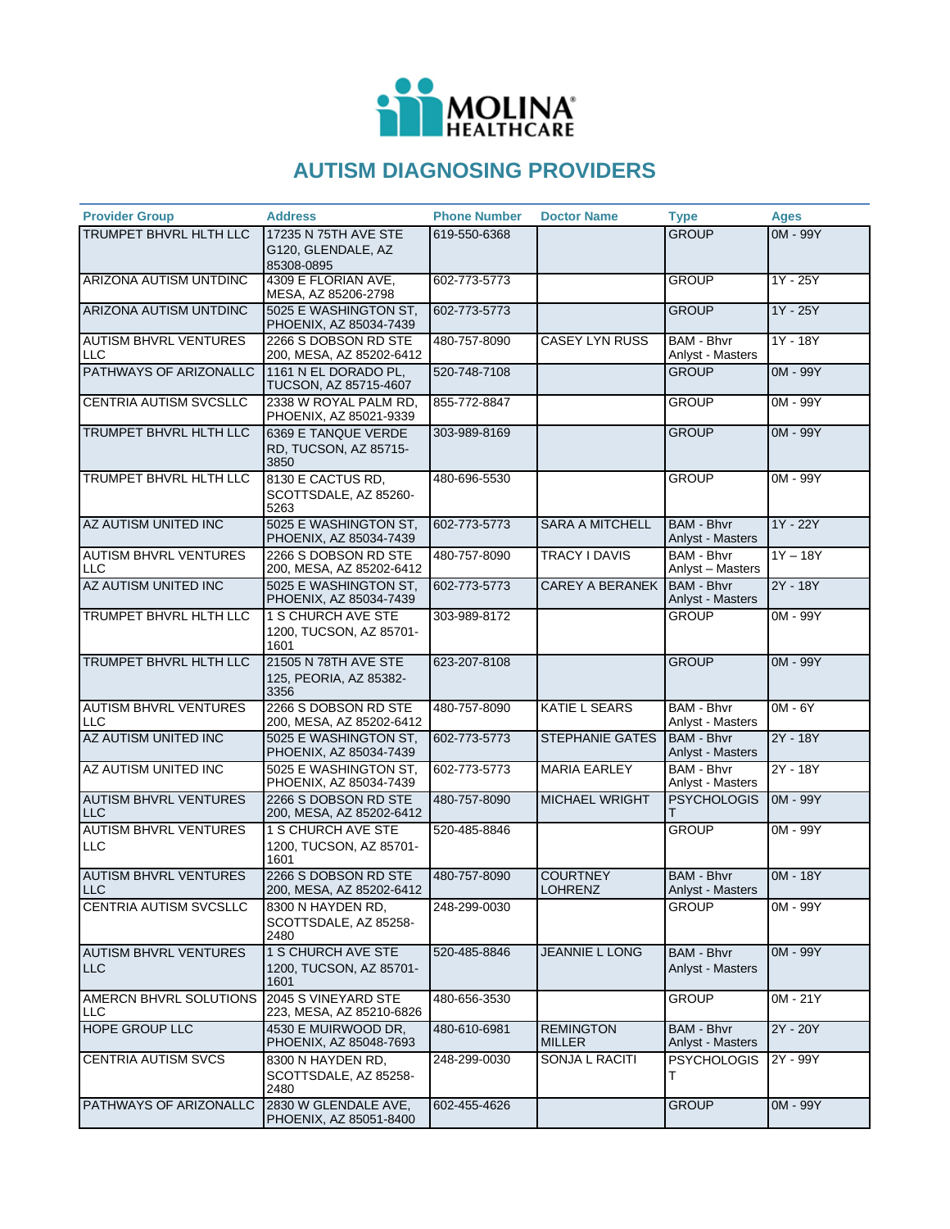

## **AUTISM DIAGNOSING PROVIDERS**

| <b>Provider Group</b>                      | <b>Address</b>                                         | <b>Phone Number</b> | <b>Doctor Name</b>                | <b>Type</b>                           | <b>Ages</b> |
|--------------------------------------------|--------------------------------------------------------|---------------------|-----------------------------------|---------------------------------------|-------------|
| TRUMPET BHVRL HLTH LLC                     | 17235 N 75TH AVE STE                                   | 619-550-6368        |                                   | <b>GROUP</b>                          | 0M - 99Y    |
|                                            | G120, GLENDALE, AZ<br>85308-0895                       |                     |                                   |                                       |             |
| ARIZONA AUTISM UNTDINC                     | 4309 E FLORIAN AVE,                                    | 602-773-5773        |                                   | <b>GROUP</b>                          | $1Y - 25Y$  |
|                                            | MESA, AZ 85206-2798                                    |                     |                                   |                                       |             |
| ARIZONA AUTISM UNTDINC                     | 5025 E WASHINGTON ST.<br>PHOENIX, AZ 85034-7439        | 602-773-5773        |                                   | <b>GROUP</b>                          | $1Y - 25Y$  |
| <b>AUTISM BHVRL VENTURES</b><br>LLC        | 2266 S DOBSON RD STE<br>200, MESA, AZ 85202-6412       | 480-757-8090        | <b>CASEY LYN RUSS</b>             | <b>BAM - Bhvr</b><br>Anlyst - Masters | $1Y - 18Y$  |
| PATHWAYS OF ARIZONALLC                     | 1161 N EL DORADO PL.<br>TUCSON, AZ 85715-4607          | 520-748-7108        |                                   | <b>GROUP</b>                          | 0M - 99Y    |
| <b>CENTRIA AUTISM SVCSLLC</b>              | 2338 W ROYAL PALM RD,<br>PHOENIX, AZ 85021-9339        | 855-772-8847        |                                   | <b>GROUP</b>                          | 0M - 99Y    |
| TRUMPET BHVRL HLTH LLC                     | 6369 E TANQUE VERDE<br>RD, TUCSON, AZ 85715-<br>3850   | 303-989-8169        |                                   | <b>GROUP</b>                          | $OM - 99Y$  |
| TRUMPET BHVRL HLTH LLC                     | 8130 E CACTUS RD,<br>SCOTTSDALE, AZ 85260-<br>5263     | 480-696-5530        |                                   | <b>GROUP</b>                          | 0M - 99Y    |
| AZ AUTISM UNITED INC                       | 5025 E WASHINGTON ST,<br>PHOENIX, AZ 85034-7439        | 602-773-5773        | <b>SARA A MITCHELL</b>            | BAM - Bhyr<br>Anlyst - Masters        | $1Y - 22Y$  |
| <b>AUTISM BHVRL VENTURES</b><br><b>LLC</b> | 2266 S DOBSON RD STE<br>200, MESA, AZ 85202-6412       | 480-757-8090        | TRACY I DAVIS                     | <b>BAM - Bhvr</b><br>Anlyst - Masters | $1Y - 18Y$  |
| AZ AUTISM UNITED INC                       | 5025 E WASHINGTON ST,<br>PHOENIX, AZ 85034-7439        | 602-773-5773        | <b>CAREY A BERANEK</b>            | <b>BAM - Bhvr</b><br>Anlyst - Masters | $2Y - 18Y$  |
| TRUMPET BHVRL HLTH LLC                     | 1 S CHURCH AVE STE<br>1200, TUCSON, AZ 85701-<br>1601  | 303-989-8172        |                                   | <b>GROUP</b>                          | 0M - 99Y    |
| TRUMPET BHVRL HLTH LLC                     | 21505 N 78TH AVE STE<br>125, PEORIA, AZ 85382-<br>3356 | 623-207-8108        |                                   | <b>GROUP</b>                          | $OM - 99Y$  |
| <b>AUTISM BHVRL VENTURES</b><br><b>LLC</b> | 2266 S DOBSON RD STE<br>200, MESA, AZ 85202-6412       | 480-757-8090        | <b>KATIE L SEARS</b>              | BAM - Bhvr<br>Anlyst - Masters        | $OM - 6Y$   |
| AZ AUTISM UNITED INC                       | 5025 E WASHINGTON ST,<br>PHOENIX, AZ 85034-7439        | 602-773-5773        | <b>STEPHANIE GATES</b>            | BAM - Bhvr<br>Anlyst - Masters        | 2Y - 18Y    |
| AZ AUTISM UNITED INC                       | 5025 E WASHINGTON ST,<br>PHOENIX, AZ 85034-7439        | 602-773-5773        | <b>MARIA EARLEY</b>               | <b>BAM - Bhvr</b><br>Anlyst - Masters | 2Y - 18Y    |
| <b>AUTISM BHVRL VENTURES</b><br><b>LLC</b> | 2266 S DOBSON RD STE<br>200, MESA, AZ 85202-6412       | 480-757-8090        | MICHAEL WRIGHT                    | <b>PSYCHOLOGIS</b>                    | 0M - 99Y    |
| <b>AUTISM BHVRL VENTURES</b><br><b>LLC</b> | 1 S CHURCH AVE STE<br>1200, TUCSON, AZ 85701-<br>1601  | 520-485-8846        |                                   | <b>GROUP</b>                          | 0M - 99Y    |
| <b>AUTISM BHVRL VENTURES</b><br><b>LLC</b> | 2266 S DOBSON RD STE<br>200, MESA, AZ 85202-6412       | 480-757-8090        | <b>COURTNEY</b><br><b>LOHRENZ</b> | <b>BAM - Bhvr</b><br>Anlyst - Masters | $OM - 18Y$  |
| CENTRIA AUTISM SVCSLLC                     | 8300 N HAYDEN RD,<br>SCOTTSDALE, AZ 85258-<br>2480     | 248-299-0030        |                                   | GROUP                                 | 0M - 99Y    |
| AUTISM BHVRL VENTURES<br><b>LLC</b>        | 1 S CHURCH AVE STE<br>1200, TUCSON, AZ 85701-<br>1601  | 520-485-8846        | <b>JEANNIE L LONG</b>             | <b>BAM - Bhvr</b><br>Anlyst - Masters | 0M - 99Y    |
| AMERCN BHVRL SOLUTIONS<br>LLC              | 2045 S VINEYARD STE<br>223, MESA, AZ 85210-6826        | 480-656-3530        |                                   | <b>GROUP</b>                          | 0M - 21Y    |
| <b>HOPE GROUP LLC</b>                      | 4530 E MUIRWOOD DR.<br>PHOENIX, AZ 85048-7693          | 480-610-6981        | <b>REMINGTON</b><br><b>MILLER</b> | <b>BAM - Bhvr</b><br>Anlyst - Masters | 2Y - 20Y    |
| <b>CENTRIA AUTISM SVCS</b>                 | 8300 N HAYDEN RD,<br>SCOTTSDALE, AZ 85258-<br>2480     | 248-299-0030        | SONJA L RACITI                    | <b>PSYCHOLOGIS</b><br>т               | 2Y - 99Y    |
| PATHWAYS OF ARIZONALLC                     | 2830 W GLENDALE AVE,<br>PHOENIX, AZ 85051-8400         | 602-455-4626        |                                   | <b>GROUP</b>                          | 0M - 99Y    |